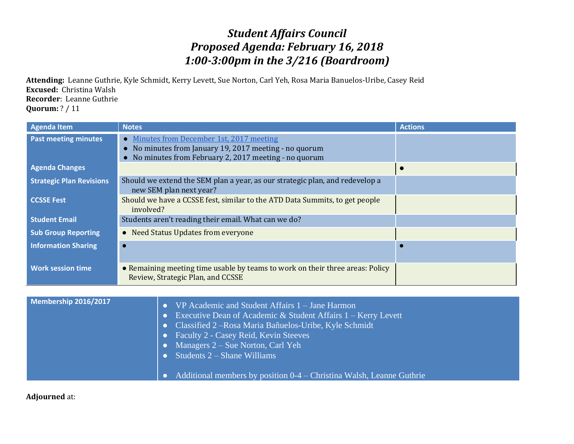## *Student Affairs Council Proposed Agenda: February 16, 2018 1:00-3:00pm in the 3/216 (Boardroom)*

**Attending:** Leanne Guthrie, Kyle Schmidt, Kerry Levett, Sue Norton, Carl Yeh, Rosa Maria Banuelos-Uribe, Casey Reid **Excused:** Christina Walsh **Recorder**: Leanne Guthrie **Quorum:** ? / 11

| Agenda Item                     | <b>Notes</b>                                                                                                                                                         | <b>Actions</b> |
|---------------------------------|----------------------------------------------------------------------------------------------------------------------------------------------------------------------|----------------|
| <b>Past meeting minutes</b>     | Minutes from December 1st, 2017 meeting<br>$\bullet$<br>No minutes from January 19, 2017 meeting - no quorum<br>No minutes from February 2, 2017 meeting - no quorum |                |
| <b>Agenda Changes</b>           |                                                                                                                                                                      |                |
| <b>Strategic Plan Revisions</b> | Should we extend the SEM plan a year, as our strategic plan, and redevelop a<br>new SEM plan next year?                                                              |                |
| <b>CCSSE Fest</b>               | Should we have a CCSSE fest, similar to the ATD Data Summits, to get people<br>involved?                                                                             |                |
| <b>Student Email</b>            | Students aren't reading their email. What can we do?                                                                                                                 |                |
| <b>Sub Group Reporting</b>      | • Need Status Updates from everyone                                                                                                                                  |                |
| <b>Information Sharing</b>      |                                                                                                                                                                      |                |
| <b>Work session time</b>        | • Remaining meeting time usable by teams to work on their three areas: Policy<br>Review, Strategic Plan, and CCSSE                                                   |                |

| • Students $2 -$ Shane Williams | Additional members by position 0-4 – Christina Walsh, Leanne Guthrie | Membership 2016/2017 | VP Academic and Student Affairs 1 – Jane Harmon<br>Executive Dean of Academic $&$ Student Affairs 1 – Kerry Levett<br>Classified 2 – Rosa Maria Bañuelos-Uribe, Kyle Schmidt<br><b>Faculty 2 - Casey Reid, Kevin Steeves</b><br>Managers $2 - S$ ue Norton, Carl Yeh |
|---------------------------------|----------------------------------------------------------------------|----------------------|----------------------------------------------------------------------------------------------------------------------------------------------------------------------------------------------------------------------------------------------------------------------|
|---------------------------------|----------------------------------------------------------------------|----------------------|----------------------------------------------------------------------------------------------------------------------------------------------------------------------------------------------------------------------------------------------------------------------|

## **Adjourned** at: